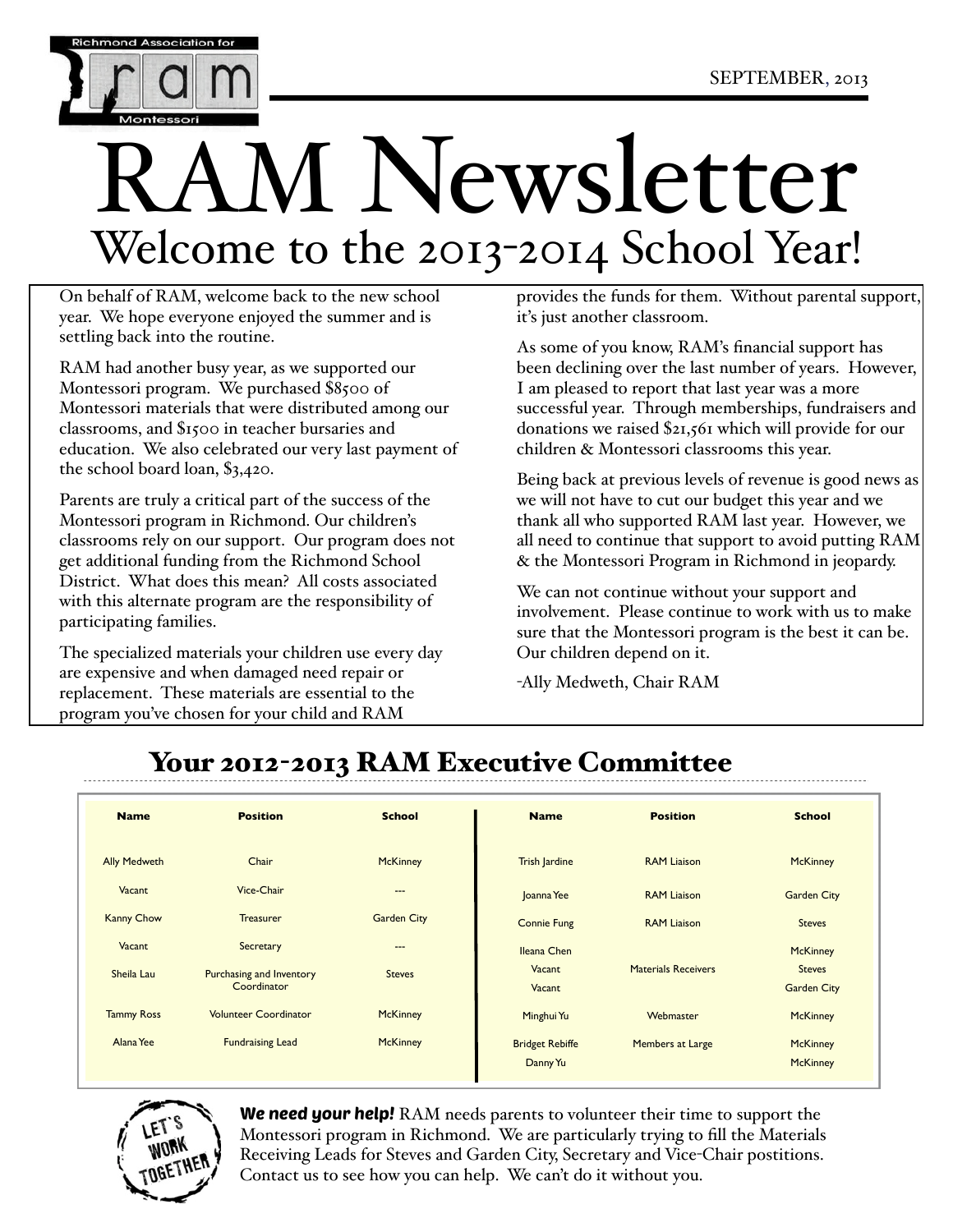

# M Newsletter Welcome to the 2013-2014 School Year!

On behalf of RAM, welcome back to the new school year. We hope everyone enjoyed the summer and is settling back into the routine.

RAM had another busy year, as we supported our Montessori program. We purchased \$8500 of Montessori materials that were distributed among our classrooms, and \$1500 in teacher bursaries and education. We also celebrated our very last payment of the school board loan, \$3,420.

Parents are truly a critical part of the success of the Montessori program in Richmond. Our children's classrooms rely on our support. Our program does not get additional funding from the Richmond School District. What does this mean? All costs associated with this alternate program are the responsibility of participating families.

The specialized materials your children use every day are expensive and when damaged need repair or replacement. These materials are essential to the program you've chosen for your child and RAM

provides the funds for them. Without parental support, it's just another classroom.

As some of you know, RAM's financial support has been declining over the last number of years. However, I am pleased to report that last year was a more successful year. Through memberships, fundraisers and donations we raised \$21,561 which will provide for our children & Montessori classrooms this year.

Being back at previous levels of revenue is good news as we will not have to cut our budget this year and we thank all who supported RAM last year. However, we all need to continue that support to avoid putting RAM & the Montessori Program in Richmond in jeopardy.

We can not continue without your support and involvement. Please continue to work with us to make sure that the Montessori program is the best it can be. Our children depend on it.

-Ally Medweth, Chair RAM

## Your 2012-2013 RAM Executive Committee

| <b>Name</b>         | <b>Position</b>                                | <b>School</b>      | <b>Name</b>                        | <b>Position</b>            | <b>School</b>                       |
|---------------------|------------------------------------------------|--------------------|------------------------------------|----------------------------|-------------------------------------|
| <b>Ally Medweth</b> | Chair                                          | <b>McKinney</b>    | <b>Trish Jardine</b>               | <b>RAM Liaison</b>         | <b>McKinney</b>                     |
| Vacant              | Vice-Chair                                     | ---                | Joanna Yee                         | <b>RAM Liaison</b>         | <b>Garden City</b>                  |
| <b>Kanny Chow</b>   | <b>Treasurer</b>                               | <b>Garden City</b> | <b>Connie Fung</b>                 | <b>RAM Liaison</b>         | <b>Steves</b>                       |
| Vacant              | Secretary                                      | $\cdots$           | Ileana Chen                        |                            | <b>McKinney</b>                     |
| Sheila Lau          | <b>Purchasing and Inventory</b><br>Coordinator | <b>Steves</b>      | Vacant<br>Vacant                   | <b>Materials Receivers</b> | <b>Steves</b><br><b>Garden City</b> |
| <b>Tammy Ross</b>   | <b>Volunteer Coordinator</b>                   | <b>McKinney</b>    | Minghui Yu                         | Webmaster                  | <b>McKinney</b>                     |
| Alana Yee           | <b>Fundraising Lead</b>                        | <b>McKinney</b>    | <b>Bridget Rebiffe</b><br>Danny Yu | Members at Large           | <b>McKinney</b><br><b>McKinney</b>  |



We need your help! RAM needs parents to volunteer their time to support the Montessori program in Richmond. We are particularly trying to fill the Materials Receiving Leads for Steves and Garden City, Secretary and Vice-Chair postitions. Contact us to see how you can help. We can't do it without you.